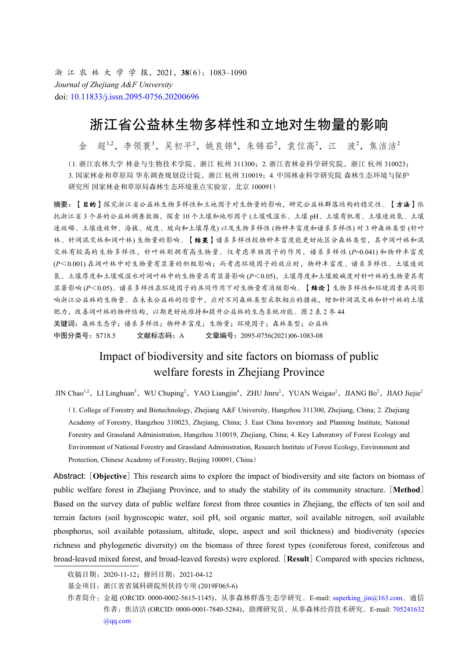浙 江 农 林 大 学 学 报,2021,**38**(6):1083–1090 *Journal of Zhejiang A&F University* doi: [10.11833/j.issn.2095-0756.20200696](https://doi.org/10.11833/j.issn.2095-0756.20200696)

# 浙江省公益林生物多样性和立地对生物量的影响

金 超<sup>1,2</sup>,李领寰<sup>3</sup>,吴初平<sup>2</sup>,姚良锦<sup>4</sup>,朱锦茹<sup>2</sup>,袁位高<sup>2</sup>,江 波<sup>2</sup>,焦洁洁<sup>2</sup>

(1. 浙江农林大学 林业与生物技术学院,浙江 杭州 311300;2. 浙江省林业科学研究院,浙江 杭州 310023; 3. 国家林业和草原局 华东调查规划设计院, 浙江 杭州 310019; 4. 中国林业科学研究院 森林生态环境与保护 研究所 国家林业和草原局森林生态环境重点实验室,北京 100091)

摘要:【目的】探究浙江省公益林生物多样性和立地因子对生物量的影响,研究公益林群落结构的稳定性。【方法】依 托浙江省 3 个县的公益林调查数据,探索 10 个土壤和地形因子 (土壤吸湿水、土壤 pH、土壤有机质、土壤速效氮、土壤 速效磷、土壤速效钾、海拔、坡度、坡向和土壤厚度) 以及生物多样性 (物种丰富度和谱系多样性) 对 3 种森林类型 (针叶 林、针阔混交林和阔叶林) 生物量的影响。【结果】谱系多样性较物种丰富度能更好地区分森林类型,其中阔叶林和混 交林有较高的生物多样性,针叶林则拥有高生物量。仅考虑单独因子的作用,谱系多样性 (*P*=0.041) 和物种丰富度 (*P*<0.001) 在阔叶林中对生物量有显著的积极影响;而考虑环境因子的效应时,物种丰富度、谱系多样性、土壤速效 氮、土壤厚度和土壤吸湿水对阔叶林中的生物量具有显著影响 (*P*<0.05),土壤厚度和土壤酸碱度对针叶林的生物量具有 显著影响 (*P*<0.05)。谱系多样性在环境因子的共同作用下对生物量有消极影响。【结论】生物多样性和环境因素共同影 响浙江公益林的生物量。在未来公益林的经营中,应对不同森林类型采取相应的措施,增加针阔混交林和针叶林的土壤 肥力,改善阔叶林的物种结构,以期更好地维持和提升公益林的生态系统功能。图 2 表 2 参 44 关键词:森林生态学;谱系多样性;物种丰富度;生物量;环境因子;森林类型;公益林 中图分类号: S718.5 文献标志码: A 文章编号: 2095-0756(2021)06-1083-08

## Impact of biodiversity and site factors on biomass of public welfare forests in Zhejiang Province

JIN Chao<sup>1,2</sup>, LI Linghuan<sup>3</sup>, WU Chuping<sup>2</sup>, YAO Liangjin<sup>4</sup>, ZHU Jinru<sup>2</sup>, YUAN Weigao<sup>2</sup>, JIANG Bo<sup>2</sup>, JIAO Jiejie<sup>2</sup>

(1. College of Forestry and Biotechnology, Zhejiang A&F University, Hangzhou 311300, Zhejiang, China; 2. Zhejiang Academy of Forestry, Hangzhou 310023, Zhejiang, China; 3. East China Inventory and Planning Institute, National Forestry and Grassland Administration, Hangzhou 310019, Zhejiang, China; 4. Key Laboratory of Forest Ecology and Environment of National Forestry and Grassland Administration, Research Institute of Forest Ecology, Environment and Protection, Chinese Academy of Forestry, Beijing 100091, China)

Abstract: [**Objective**] This research aims to explore the impact of biodiversity and site factors on biomass of public welfare forest in Zhejiang Province, and to study the stability of its community structure. [**Method**] Based on the survey data of public welfare forest from three counties in Zhejiang, the effects of ten soil and terrain factors (soil hygroscopic water, soil pH, soil organic matter, soil available nitrogen, soil available phosphorus, soil available potassium, altitude, slope, aspect and soil thickness) and biodiversity (species richness and phylogenetic diversity) on the biomass of three forest types (coniferous forest, coniferous and broad-leaved mixed forest, and broad-leaved forests) were explored. [**Result**] Compared with species richness,

收稿日期:2020-11-12;修回日期:2021-04-12

基金项目: 浙江省省属科研院所扶持专项 (2019F065-6)

作者简介:金超 (ORCID: 0000-0002-5615-1145), 从事森林群落生态学研究。E-mail: superking jin@163.com。通信 作者:焦洁洁 (ORCID: 0000-0001-7840-5284),助理研究员,从事森林经营技术研究。E-mail: [705241632](mailto:705241632<linebreak/>@qq.com) [@qq.com](mailto:705241632<linebreak/>@qq.com)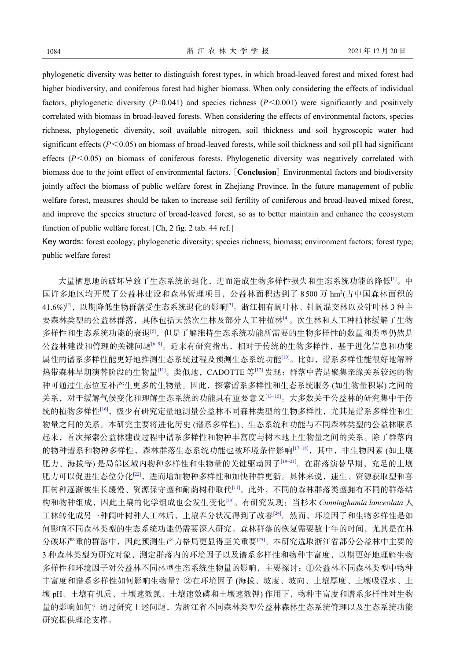phylogenetic diversity was better to distinguish forest types, in which broad-leaved forest and mixed forest had higher biodiversity, and coniferous forest had higher biomass. When only considering the effects of individual factors, phylogenetic diversity  $(P=0.041)$  and species richness  $(P<0.001)$  were significantly and positively correlated with biomass in broad-leaved forests. When considering the effects of environmental factors, species richness, phylogenetic diversity, soil available nitrogen, soil thickness and soil hygroscopic water had significant effects (*P*<0.05) on biomass of broad-leaved forests, while soil thickness and soil pH had significant effects  $(P<0.05)$  on biomass of coniferous forests. Phylogenetic diversity was negatively correlated with biomass due to the joint effect of environmental factors. [**Conclusion**] Environmental factors and biodiversity jointly affect the biomass of public welfare forest in Zhejiang Province. In the future management of public welfare forest, measures should be taken to increase soil fertility of coniferous and broad-leaved mixed forest, and improve the species structure of broad-leaved forest, so as to better maintain and enhance the ecosystem function of public welfare forest. [Ch, 2 fig. 2 tab. 44 ref.]

Key words: forest ecology; phylogenetic diversity; species richness; biomass; environment factors; forest type; public welfare forest

大量栖息地的破坏导致了生态系统的退化,进而造成生物多样性损失和生态系统功能的降低[[1\]](#page-5-0)。中 国许多地区均开展了公益林建设和森林管理项目, 公益林面积达到了 8500 万 hm2(占中国森林面积的 41.6%)<sup>[\[2](#page-5-1)]</sup>,以期降低生物群落受生态系统退化的影响<sup>[\[3](#page-5-2)]</sup>。浙江拥有阔叶林、针阔混交林以及针叶林 3 种主 要森林类型的公益林群落,具体包括天然次生林及部分人工种植林[\[4](#page-5-3)]。次生林和人工种植林缓解了生物 多样性和生态系统功能的衰退<sup>[[5\]](#page-5-4)</sup>,但是了解维持生态系统功能所需要的生物多样性的数量和类型仍然是 公益林建设和管理的关键问题[[6](#page-5-5)[−9\]](#page-5-6)。近来有研究指出,相对于传统的生物多样性,基于进化信息和功能 属性的谱系多样性能更好地推测生态系统过程及预测生态系统功能[\[10](#page-6-0)]。比如,谱系多样性能很好地解释 热带森林早期演替阶段的生物量[\[11](#page-6-1)]。类似地, CADOTTE 等[\[12](#page-6-2)] 发现: 群落中若是聚集亲缘关系较远的物 种可通过生态位互补产生更多的生物量。因此,探索谱系多样性和生态系统服务 (如生物量积累) 之间的 关系,对于缓解气候变化和理解生态系统的功能具有重要意义[[13−](#page-6-3)[15](#page-6-4)]。大多数关于公益林的研究集中于传 统的植物多样性<sup>[[16\]](#page-6-5)</sup>,极少有研究定量地测量公益林不同森林类型的生物多样性,尤其是谱系多样性和生 物量之间的关系。本研究主要将进化历史 (谱系多样性)、生态系统和功能与不同森林类型的公益林联系 起来,首次探索公益林建设过程中谱系多样性和物种丰富度与树木地上生物量之间的关系。除了群落内 的物种谱系和物种多样性,森林群落生态系统功能也被环境条件影响[[17−](#page-6-6)[18](#page-6-7)],其中,非生物因素 (如土壤 肥力、海拔等) 是局部区[域内](#page-6-10)物种多样性和生物量的关键驱动因子[\[19](#page-6-8)−[21\]](#page-6-9)。在群落演替早期,充足的土壤 肥力可以促进生态位分化[[22\]](#page-6-10),进而增加物种多样性和[加](#page-6-1)快种群更新。具体来说,速生、资源获取型和喜 阳树种逐渐被生长缓慢、资源保守型和耐荫树种取[代](#page-6-11)[[11](#page-6-1)]。此外,不同的森林群落类型拥有不同的群落结 构和物种组成,因此土壤的化学组成也会发生变化[[23](#page-6-11)]。有研究发[现](#page-6-12):当杉木 *Cunninghamia lanceolata* 人 工林转化成另一种阔叶树种人工林后,土壤养分状况得到了改善[[24\]](#page-6-12)。然而,环境因子和生物多样性是如 何影响不同森林类型的生态系统功能仍需要深入研究。森林[群](#page-6-13)落的恢复需要数十年的时间,尤其是在林 分破坏严重的群落中,因此预测生产力格局更显得至关重要[[25\]](#page-6-13)。本研究选取浙江省部分公益林中主要的 3 种森林类型为研究对象,测定群落内的环境因子以及谱系多样性和物种丰富度,以期更好地理解生物 多样性和环境因子对公益林不同林型生态系统生物量的影响,主要探讨:①公益林不同森林类型中物种 丰富度和谱系多样性如何影响生物量?②在环境因子 (海拔、坡度、坡向、土壤厚度、土壤吸湿水、土 壤 pH、土壤有机质、土壤速效氮、土壤速效磷和土壤速效钾) 作用下,物种丰富度和谱系多样性对生物 量的影响如何?通过研究上述问题,为浙江省不同森林类型公益林森林生态系统管理以及生态系统功能 研究提供理论支撑。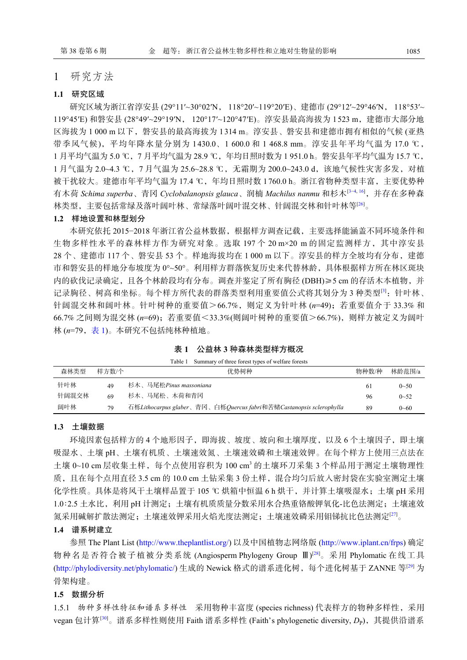### 1 研究方法

#### **1.1** 研究区域

研究区域为浙江省淳安县 (29°11′~30°02′N, 118°20′~119°20′E)、建德市 (29°12′~29°46′N, 118°53′~ 119°45′E) 和磐安县 (28°49′~29°19′N, 120°17′~120°47′E)。淳安县最高海拔为 1523 m,建德市大部分地 区海拔为 1 000 m 以下,磐安县的最高海拔为 1314 m。淳安县、磐安县和建德市拥有相似的气候 (亚热 带季风气候),平均年降水量分别为 1430.0、1 600.0 和 1 468.8 mm。淳安县年平均气温为 17.0 ℃, 1 月平均气温为 5.0 ℃,7 月平均气温为 28.9 ℃,年均日照时数为 1 951.0 h。磐安县年平均气温为 15.7 ℃, 1 月气温为 2.0~4.3 ℃, 7 月气温为 25.6~28.8 ℃, 无霜期为 200.0~243.0 d, 该地气候性灾害多发, 对植 被干扰较大。建德市年平均气温为 17.4 ℃,年均日照时数 1760.0 h。浙江省物种类型丰富,主要优势种 有木荷 *Schima superba*、青冈 *Cyclobalanopsis glauca*、润楠 *Machilus nanmu* 和杉木[[3](#page-5-2)[−4](#page-5-3), [16\]](#page-6-5),并存在多种森 林类型,主要包括常绿及落叶阔叶林、常绿落叶阔叶混交林、针阔混交林和针叶林等[[26](#page-6-14)]。

#### **1.2** 样地设置和林型划分

本研究依托 2015−2018 年浙江省公益林数据,根据样方调查记载,主要选择能涵盖不同环境条件和 生物多样性水平的森林样方作为研究对象。选取 197 个 20 m×20 m 的固定监测样方,其中淳安县 28 个、建德市 117 个、磐安县 53 个。样地海拔均在 1 000 m 以下。淳安县的样方全坡均有分布,建德 市和磐安县的样地分布坡度为 0°~50°。利用样方群落恢复历史来代替林龄,具体根据样方所在林区斑块 内的砍伐记录确定,且各个林龄段均有分布。调查并鉴定了所有胸径 (DBH)≥5 cm 的存活木本植物,并 记录胸径、树高和坐标。每个样方所代表的群落类型利用重要值公式将其划分为 3 种类型<sup>[[3\]](#page-5-2)</sup>:针叶林、 针阔混交林和阔叶林。针叶树种的重要值>66.7%,则定义为针叶林 (n=49);若重要值介于 33.3% 和 66.7% 之间则为混交林 (*n*=69);若重要值<33.3%(则阔叶树种的重要值>66.7%),则样方被定义为阔叶 林 (n=79, 表 [1](#page-2-0))。本研究不包括纯林种植地。

<span id="page-2-0"></span>表 **1**  公益林 **3** 种森林类型样方概况

| Table 1 | Summary of three forest types of welfare forests |  |
|---------|--------------------------------------------------|--|
|         |                                                  |  |

| 森林类型  | 样方数/个 | 优势树种                                                               | 物种数/种 | 林龄范围/a   |
|-------|-------|--------------------------------------------------------------------|-------|----------|
| 针叶林   | 49    | 杉木、马尾松Pinus massoniana                                             | -61   | $0 - 50$ |
| 针阔混交林 | 69    | 杉木、马尾松、木荷和青冈                                                       | 96    | $0 - 52$ |
| 阔叶林   | 79    | 石栎Lithocarpus glaber、青冈、白栎Quercus fabri和苦槠Castanopsis sclerophylla | 89    | $0 - 60$ |

#### **1.3** 土壤数据

环境因素包括样方的 4 个地形因子,即海拔、坡度、坡向和土壤厚度,以及 6 个土壤因子,即土壤 吸湿水、土壤 pH、土壤有机质、土壤速效氮、土壤速效磷和土壤速效钾。在每个样方上使用三点法在 土壤 0~10 cm 层收集土样, 每个点使用容积为 100 cm3 的土壤环刀采集 3 个样品用于测定土壤物理性 质,且在每个点用直径 3.5 cm 的 10.0 cm 土钻采集 3 份土样,混合均匀后放入密封袋在实验室测定土壤 化学性质。具体是将风干土壤样品置于 105 ℃ 烘箱中恒温 6 h 烘干, 并计算土壤吸湿水;土壤 pH 采用 1.0∶2.5 土水比,利用 pH 计测定;土壤有机质质量分数采用水合热重铬酸钾氧化-比色法测定;土壤速效 氮采用碱解扩散法测定;土壤速效钾采用火焰光度法测定;土壤速效磷采用钼锑抗比色法测定[[27\]](#page-6-15)。

#### **1.4** 谱系树建立

参照 The Plant List [\(http://www.theplantlist.org/\)](http://www.theplantlist.org/) 以及中国植物志网络版 [\(http://www.iplant.cn/frps](http://www.iplant.cn/frps)) 确定 物种名是否符合被子植被分类系统 (Angiosperm Phylogeny Group Ⅲ) [\[28](#page-6-16)]。采用 Phylomatic 在线工具 ([http://phylodiversity.net/phylomatic/\)](http://phylodiversity.net/phylomatic/) 生成的 Newick 格式的谱系进化树, 每个进化树基于 ZANNE 等<sup>[\[29](#page-6-17)]</sup> 为 骨架构建。

#### **1.5** 数据分析

1.5.1 物种[多样](#page-7-0)性特征和谱系多样性 采用物种丰富度 (species richness) 代表样方的物种多样性, 采用 vegan 包计算<sup>[[30](#page-7-0)]</sup>。谱系多样性则使用 Faith 谱系多样性 (Faith's phylogenetic diversity, *D*<sub>P</sub>),其提供沿谱系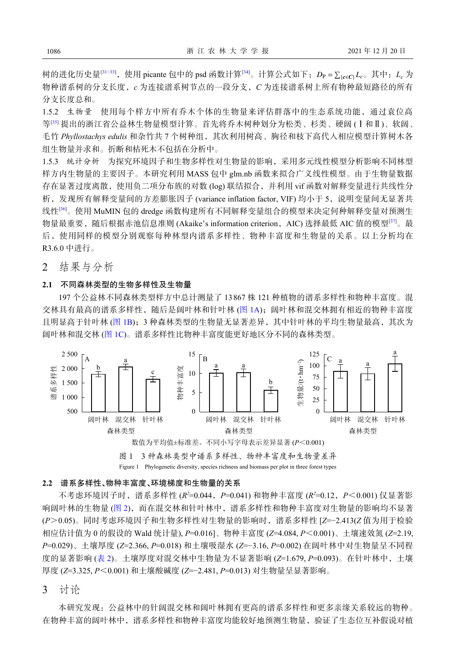*D*<sup>P</sup> = ∑ 树的进化历史量 {*c*∈*C*} *L<sup>c</sup>* [\[31−](#page-7-1)[33](#page-7-2)],使用 picante 包中的 psd 函数计算[[34\]](#page-7-3)。计算公式如下: 。其中:*L<sup>c</sup>* 为 物种谱系树的分支长度,*c* 为连接谱系树节点的一段分支,*C* 为连接谱系树上所有物种最短路径的所有 分支长度总和。

1.5.2 生物量 使用每个样方中所有乔木个体的生物量来评估群落中的生态系统功能,通过袁位高 等[[35\]](#page-7-4) 提出的浙江省公益林生物量模型计算。首先将乔木树种划分为松类、杉类、硬阔 (Ⅰ和Ⅱ)、软阔、 毛竹 *Phyllostachys edulis* 和杂竹共 7 个树种组,其次利用树高、胸径和枝下高代入相应模型计算树木各 组生物量并求和。折断和枯死木不包括在分析中。

1.5.3 统计分析 为探究环境因子和生物多样性对生物量的影响,采用多元线性模型分析影响不同林型 样方内生物量的主要因子。本研究利用 MASS 包中 glm.nb 函数来拟合广义线性模型。由于生物量数据 存在显著过度离散,使用负二项分布族的对数 (log) 联结拟合,并利用 vif 函数对解释变量进行共线性分 析,发现所有解释变量间的方差膨胀因子 (variance inflation factor, VIF) 均小于 5,说明变量间无显著共 线性[\[36](#page-7-5)]。使用 MuMIN 包的 dredge 函数构建所有不同解释变量组合的模型来决定何种解释变量对预测生 物量最重要,随后根据赤池信息准则 (Akaike's information criterion, AIC) 选择最低 AIC 值的模型<sup>[[37\]](#page-7-6)</sup>。最 后,使用同样的模型分别观察每种林型内谱系多样性、物种丰富度和生物量的关系。以上分析均在 R3.6.0 中进行。

2 结果与分析

#### **2.1** 不同森林类型的生物多样性及生物量

197 个公益林不同森林类型样方中总计测量了 13 867 株 121 种植物的谱系多样性和物种丰富度。混 交林具有最高的谱系多样性,随后是阔叶林和针叶林 ([图](#page-3-0) [1A](#page-3-0)); 阔叶林和混交林拥有相近的物种丰富度 且明显高于针叶林 ([图](#page-3-0) [1B\)](#page-3-0);3 种森林类型的生物量无显著差异,其中针叶林的平均生物量最高,其次为 阔叶林和混交林 ([图](#page-3-0) [1C\)](#page-3-0)。谱系多样性比物种丰富度能更好地区分不同的森林类型。

<span id="page-3-0"></span>

#### **2.2** 谱系多样性、物种丰富度、环境梯度和生物量的关系

不考虑环境因子时,谱系多样性 (*R <sup>2</sup>*=0.044,*P*=0.041) 和物种丰富度 (*R <sup>2</sup>*=0.12,*P*<0.001) 仅显著影 响阔叶林的生物量([图](#page-4-0) [2\)](#page-4-0),而在混交林和针叶林中,谱系多样性和物种丰富度对生物量的影响均不显著 (*P*>0.05)。同时考虑环境因子和生物多样性对生物量的影响时,谱系多样性 [*Z*=−2.413(*Z* 值为用于检验 相应估计值为 0 的假设的 Wald 统计量), *P*=0.016]、物种丰富度 (*Z*=4.084, *P*<0.001)、土壤速效氮 (*Z*=2.19, *P*=0.029)、土壤厚度 (*Z*=2.366, *P*=0.018) 和土壤吸湿水 (*Z*=−3.16, *P*=0.002) 在阔叶林中对生物量呈不同程 度的显著影响 ([表](#page-4-1) [2\)](#page-4-1)。土壤厚度对混交林中生物量为不显著影响 (*Z*=1.679, *P*=0.093)。在针叶林中,土壤 厚度 (*Z*=3.325, *P*<0.001) 和土壤酸碱度 (*Z*=−2.481, *P*=0.013) 对生物量呈显著影响。

3 讨论

本研究发现:公益林中的针阔混交林和阔叶林拥有更高的谱系多样性和更多亲缘关系较远的物种。 在物种丰富的阔叶林中,谱系多样性和物种丰富度均能较好地预测生物量,验证了生态位互补假说对植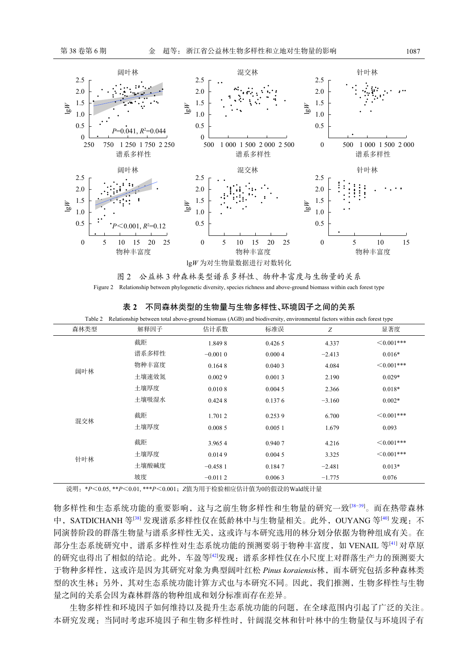<span id="page-4-0"></span>

图 2 公益林 3 种森林类型谱系多样性、物种丰富度与生物量的关系 Figure 2 Relationship between phylogenetic diversity, species richness and above-ground biomass within each forest type

| Table 2 | Relationship between total above-ground biomass (AGB) and biodiversity, environmental factors within each forest type |           |        |          |                  |  |
|---------|-----------------------------------------------------------------------------------------------------------------------|-----------|--------|----------|------------------|--|
| 森林类型    | 解释因子                                                                                                                  | 估计系数      | 标准误    | Z        | 显著度              |  |
| 阔叶林     | 截距                                                                                                                    | 1.8498    | 0.4265 | 4.337    | $\leq 0.001$ *** |  |
|         | 谱系多样性                                                                                                                 | $-0.0010$ | 0.0004 | $-2.413$ | $0.016*$         |  |
|         | 物种丰富度                                                                                                                 | 0.1648    | 0.0403 | 4.084    | $\leq 0.001$ *** |  |
|         | 土壤速效氮                                                                                                                 | 0.0029    | 0.0013 | 2.190    | $0.029*$         |  |
|         | 土壤厚度                                                                                                                  | 0.0108    | 0.0045 | 2.366    | $0.018*$         |  |
|         | 土壤吸湿水                                                                                                                 | 0.4248    | 0.1376 | $-3.160$ | $0.002*$         |  |
| 混交林     | 截距                                                                                                                    | 1.7012    | 0.2539 | 6.700    | $\leq 0.001$ *** |  |
|         | 土壤厚度                                                                                                                  | 0.0085    | 0.0051 | 1.679    | 0.093            |  |
| 针叶林     | 截距                                                                                                                    | 3.9654    | 0.9407 | 4.216    | $\leq 0.001$ *** |  |
|         | 土壤厚度                                                                                                                  | 0.0149    | 0.0045 | 3.325    | $\leq 0.001$ *** |  |
|         | 土壤酸碱度                                                                                                                 | $-0.4581$ | 0.1847 | $-2.481$ | $0.013*$         |  |
|         | 坡度                                                                                                                    | $-0.0112$ | 0.0063 | $-1.775$ | 0.076            |  |

<span id="page-4-1"></span>表 **2**  不同森林类型的生物量与生物多样性、环境因子之间的关系

说明:\**P*<0.05, \*\**P*<0.01, \*\*\**P*<0.001;*Z*值为用于检验相应估计值为0的假设的Wald统计量

物多样性和生态系统功能的重要影响,这与之前生物多样性和生物量的研究一致[[38](#page-7-7)−[39\]](#page-7-8)。而在热带森林 中, SATDICHANH 等<sup>[[38](#page-7-7)]</sup> 发现谱系多样性仅在低龄林中与生物量相关。此外, OUYANG 等<sup>[[40](#page-7-9)]</sup> 发现: 不 同演替阶段的群落生物量与谱系多样性无关,这或许与本研究选用的林分划分依据为物种组成有关。在 部分生态系统研究中,谱系多样性对生态系统功能的预测要弱于物种丰富度,如 VENAIL 等[\[41\]](#page-7-10) 对草原 的研究也得出了相似的结论。此外,车盈等[\[42](#page-7-11)]发现:谱系多样性仅在小尺度上对群落生产力的预测要大 于物种多样性,这或许是因为其研究对象为典型阔叶红松 *Pinus koraiensis*林,而本研究包括多种森林类 型的次生林;另外,其对生态系统功能计算方式也与本研究不同。因此,我们推测,生物多样性与生物 量之间的关系会因为森林群落的物种组成和划分标准而存在差异。

生物多样性和环境因子如何维持以及提升生态系统功能的问题,在全球范围内引起了广泛的关注。 本研究发现:当同时考虑环境因子和生物多样性时,针阔混交林和针叶林中的生物量仅与环境因子有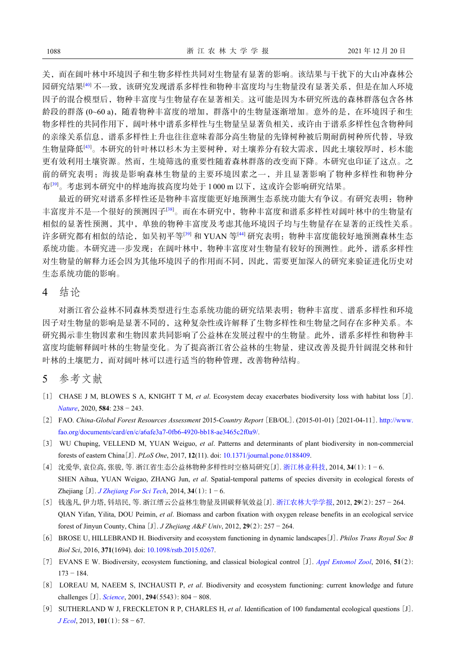关,而在阔叶林中环境因子和生物多样性共同对生物量有显著的影响。该结果与干扰下的大山冲森林公 园研究结果[\[40\]](#page-7-9) 不一致,该研究发现谱系多样性和物种丰富度均与生物量没有显著关系,但是在加入环境 因子的混合模型后,物种丰富度与生物量存在显著相关。这可能是因为本研究所选的森林群落包含各林 龄段的群落 (0~60 a), 随着物种丰富度的增加, 群落中的生物量逐渐增加。意外的是, 在环境因子和生 物多样性的共同作用下,阔叶林中谱系多样性与生物量呈显著负相关,或许由于谱系多样性包含物种间 的亲缘关系信息,谱系多样性上升也往往意味着部分高生物量的先锋树种被后期耐荫树种所代替,导致 生物量降低[[43\]](#page-7-12)。本研究的针叶林以杉木为主要树种,对土壤养分有较大需求,因此土壤较厚时,杉木能 更有效利用土壤资源。然而,生境筛选的重要性随着森林群落的改变而下降。本研究也印证了这点。之 前的研究表明:海拔是影响森林生物量的主要环境因素之一,并且显著影响了物种多样性和物种分 布<sup>[[39\]](#page-7-8)</sup>。考虑到本研究中的样地海拔高度均处于 1000 m 以下, 这或许会影响研究结果。

最近的研究对谱系多样性还是物种丰富度能更好地预测生态系统功能大有争议。有研究表明:物种 丰富度并不是一个很好的预测因子[[38](#page-7-7)]。而在本研究中,物种丰富度和谱系多样性对阔叶林中的生物量有 相似的显著性预测,其中,单独的物种丰富度及考虑其他环境因子均与生物量存在显著的正线性关系。 许多研究都有相似的结论,如吴初平等[[39](#page-7-8)] 和 YUAN 等[[44\]](#page-7-13) 研究表明: 物种丰富度能较好地预测森林生态 系统功能。本研究进一步发现:在阔叶林中,物种丰富度对生物量有较好的预测性。此外,谱系多样性 对生物量的解释力还会因为其他环境因子的作用而不同,因此,需要更加深入的研究来验证进化历史对 生态系统功能的影响。

## 4 结论

对浙江省公益林不同森林类型进行生态系统功能的研究结果表明:物种丰富度、谱系多样性和环境 因子对生物量的影响是显著不同的,这种复杂性或许解释了生物多样性和生物量之间存在多种关系。本 研究揭示非生物因素和生物因素共同影响了公益林在发展过程中的生物量。此外,谱系多样性和物种丰 富度均能解释阔叶林的生物量变化。为了提高浙江省公益林的生物量,建议改善及提升针阔混交林和针 叶林的土壤肥力,而对阔叶林可以进行适当的物种管理,改善物种结构。

## 5 参考文献

- <span id="page-5-0"></span>[1] CHASE J M, BLOWES S A, KNIGHT T M, *et al*. Ecosystem decay exacerbates biodiversity loss with habitat loss [J]. *[Nature](https://doi.org/10.1038/s41586-020-2531-2)*, 2020, **584**: 238 − 243.
- <span id="page-5-1"></span>[2] FAO. *China-Global Forest Resources Assessment* 2015-*Country Report* [EB/OL]. (2015-01-01) [2021-04-11]. [http://www.](http://www.fao.org/documents/card/en/c/a6afe3a7-0fb6-4920-bb18-ae3465c2f0a9/) [fao.org/documents/card/en/c/a6afe3a7-0fb6-4920-bb18-ae3465c2f0a9/.](http://www.fao.org/documents/card/en/c/a6afe3a7-0fb6-4920-bb18-ae3465c2f0a9/)
- <span id="page-5-2"></span>[3] WU Chuping, VELLEND M, YUAN Weiguo, *et al*. Patterns and determinants of plant biodiversity in non-commercial forests of eastern China[J]. *PLoS One*, 2017, **12**(11). doi: <10.1371/journal.pone.0188409>.
- <span id="page-5-3"></span>[4] 沈爱华, 袁位高, 张骏, 等. 浙江省生态公益林物种多样性时空格局研究[J]. [浙江林业科技](https://doi.org/10.3969/j.issn.1001-3776.2014.01.001), 2014, **34**(1): 1 − 6. SHEN Aihua, YUAN Weigao, ZHANG Jun, *et al.* Spatial-temporal patterns of species diversity in ecological forests of Zhejiang  $[J]$ . *[J Zhejiang For Sci Tech](https://doi.org/10.3969/j.issn.1001-3776.2014.01.001)*, 2014, 34(1):  $1 - 6$ .
- <span id="page-5-4"></span>[5] 钱逸凡, 伊力塔, 钭培民, 等. 浙江缙云公益林生物量及固碳释氧效益[J]. [浙江农林大学学报](https://doi.org/10.3969/j.issn.2095-0756.2012.02.016), 2012, **29**(2): 257 − 264. QIAN Yifan, Yilita, DOU Peimin, *et al*. Biomass and carbon fixation with oxygen release benefits in an ecological service forest of Jinyun County, China [J]. *J Zhejiang A*&*F Univ*, 2012, **29**(2): 257 − 264.
- <span id="page-5-5"></span>[6] BROSE U, HILLEBRAND H. Biodiversity and ecosystem functioning in dynamic landscapes[J]. *Philos Trans Royal Soc B Biol Sci*, 2016, **371**(1694). doi: <10.1098/rstb.2015.0267>.
- [7] EVANS E W. Biodiversity, ecosystem functioning, and classical biological control [J]. *[Appl Entomol Zool](https://doi.org/10.1007/s13355-016-0401-z)*, 2016, **51**(2): 173 − 184.
- [8] LOREAU M, NAEEM S, INCHAUSTI P, *et al.* Biodiversity and ecosystem functioning: current knowledge and future challenges [J]. *[Science](https://doi.org/10.1126/science.1064088)*, 2001, **294**(5543): 804 − 808.
- <span id="page-5-6"></span>[9] SUTHERLAND W J, FRECKLETON R P, CHARLES H, *et al*. Identification of 100 fundamental ecological questions [J]. *[J Ecol](https://doi.org/10.1111/1365-2745.12025)*, 2013, **101**(1): 58 − 67.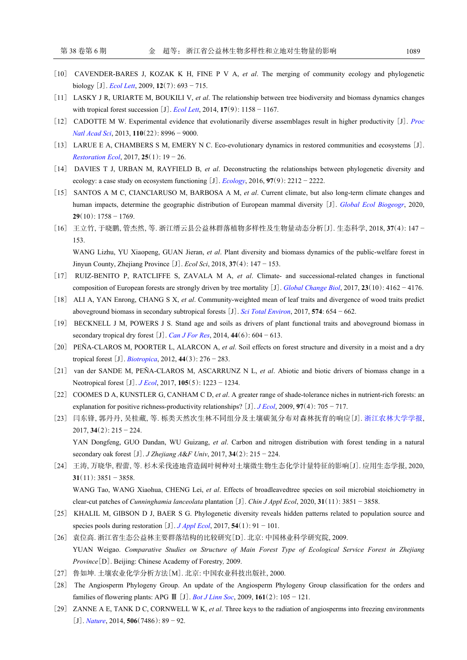- <span id="page-6-0"></span>[10] CAVENDER-BARES J, KOZAK K H, FINE P V A, *et al*. The merging of community ecology and phylogenetic biology [J]. *[Ecol Lett](https://doi.org/10.1111/j.1461-0248.2009.01314.x)*, 2009, **12**(7): 693 − 715.
- <span id="page-6-1"></span>[11] LASKY J R, URIARTE M, BOUKILI V, *et al*. The relationship between tree biodiversity and biomass dynamics changes with tropical forest succession [J]. *[Ecol Lett](https://doi.org/10.1111/ele.12322)*, 2014, **17**(9): 1158 − 1167.
- <span id="page-6-2"></span>[12] CADOTTE M W. Experimental evidence that evolutionarily diverse assemblages result in higher productivity [J]. *[Proc](https://doi.org/10.1073/pnas.1301685110) [Natl Acad Sci](https://doi.org/10.1073/pnas.1301685110)*, 2013, **110**(22): 8996 − 9000.
- <span id="page-6-3"></span>[13] LARUE E A, CHAMBERS S M, EMERY N C. Eco-evolutionary dynamics in restored communities and ecosystems [J]. *[Restoration Ecol](https://doi.org/10.1111/rec.12458)*, 2017, **25**(1): 19 − 26.
- [14] DAVIES T J, URBAN M, RAYFIELD B, *et al.* Deconstructing the relationships between phylogenetic diversity and ecology: a case study on ecosystem functioning [J]. *[Ecology](https://doi.org/10.1002/ecy.1507)*, 2016, **97**(9): 2212 − 2222.
- <span id="page-6-4"></span>[15] SANTOS A M C, CIANCIARUSO M, BARBOSA A M, *et al.* Current climate, but also long-term climate changes and human impacts, determine the geographic distribution of European mammal diversity [J]. *[Global Ecol Biogeogr](https://doi.org/10.1111/geb.13148)*, 2020, **29**(10): 1758 − 1769.
- <span id="page-6-5"></span>[16] 王立竹, 于晓鹏, 管杰然, 等. 浙江缙云县公益林群落植物多样性及生物量动态分析[J]. 生态科学, 2018, **37**(4): 147 − 153. WANG Lizhu, YU Xiaopeng, GUAN Jieran, *et al*. Plant diversity and biomass dynamics of the public-welfare forest in Jinyun County, Zhejiang Province [J]. *Ecol Sci*, 2018, **37**(4): 147 − 153.
- <span id="page-6-6"></span>[17] RUIZ-BENITO P, RATCLIFFE S, ZAVALA M A, *et al*. Climate- and successional-related changes in functional composition of European forests are strongly driven by tree mortality [J]. *[Global Change Biol](https://doi.org/10.1111/gcb.13728)*, 2017, **23**(10): 4162 − 4176.
- <span id="page-6-7"></span>[18] ALI A, YAN Enrong, CHANG S X, *et al*. Community-weighted mean of leaf traits and divergence of wood traits predict aboveground biomass in secondary subtropical forests [J]. *[Sci Total Environ](https://doi.org/10.1016/j.scitotenv.2016.09.022)*, 2017, **574**: 654 − 662.
- <span id="page-6-8"></span>[19] BECKNELL J M, POWERS J S. Stand age and soils as drivers of plant functional traits and aboveground biomass in secondary tropical dry forest [J]. *[Can J For Res](https://doi.org/10.1139/cjfr-2013-0331)*, 2014, **44**(6): 604 − 613.
- [20] PEÑA-CLAROS M, POORTER L, ALARCON A, *et al*. Soil effects on forest structure and diversity in a moist and a dry tropical forest [J]. *[Biotropica](https://doi.org/10.1111/j.1744-7429.2011.00813.x)*, 2012, **44**(3): 276 − 283.
- <span id="page-6-9"></span>[21] van der SANDE M, PEÑA-CLAROS M, ASCARRUNZ N L, *et al*. Abiotic and biotic drivers of biomass change in a Neotropical forest [J]. *[J Ecol](https://doi.org/10.1111/1365-2745.12756)*, 2017, **105**(5): 1223 − 1234.
- <span id="page-6-10"></span>[22] COOMES D A, KUNSTLER G, CANHAM C D, *et al*. A greater range of shade-tolerance niches in nutrient-rich forests: an explanation for positive richness-productivity relationships? [J]. *[J Ecol](https://doi.org/10.1111/j.1365-2745.2009.01507.x)*, 2009, **97**(4): 705 − 717.
- <span id="page-6-11"></span>[23] 闫东锋, 郭丹丹, 吴桂藏, 等. 栎类天然次生林不同组分及土壤碳氮分布对森林抚育的响应[J]. [浙江农林大学学报](https://doi.org/10.11833/j.issn.2095-0756.2017.02.003), 2017, **34**(2): 215 − 224. YAN Dongfeng, GUO Dandan, WU Guizang, *et al*. Carbon and nitrogen distribution with forest tending in a natural

secondary oak forest [J]. *J Zhejiang A*&*F Univ*, 2017, **34**(2): 215 − 224.

- <span id="page-6-12"></span>[24] 王涛, 万晓华, 程蕾, 等. 杉木采伐迹地营造阔叶树种对土壤微生物生态化学计量特征的影响[J]. 应用生态学报, 2020, **31**(11): 3851 − 3858. WANG Tao, WANG Xiaohua, CHENG Lei, *et al*. Effects of broadleavedtree species on soil microbial stoichiometry in clear-cut patches of *Cunninghamia lanceolata* plantation [J]. *Chin J Appl Ecol*, 2020, **31**(11): 3851 − 3858.
- <span id="page-6-13"></span>[25] KHALIL M, GIBSON D J, BAER S G. Phylogenetic diversity reveals hidden patterns related to population source and species pools during restoration [J]. *[J Appl Ecol](https://doi.org/10.1111/1365-2664.12743)*, 2017, **54**(1): 91 − 101.
- <span id="page-6-14"></span>[26] 袁位高. 浙江省生态公益林主要群落结构的比较研究[D]. 北京: 中国林业科学研究院, 2009. YUAN Weigao. *Comparative Studies on Structure of Main Forest Type of Ecological Service Forest in Zhejiang Province*[D]. Beijing: Chinese Academy of Forestry*,* 2009.
- <span id="page-6-15"></span>[27] 鲁如坤. 土壤农业化学分析方法[M]. 北京: 中国农业科技出版社, 2000.
- <span id="page-6-16"></span>[28] The Angiosperm Phylogeny Group. An [update of the](https://doi.org/10.1111/j.1095-8339.2009.00996.x) Angiosperm Phylogeny Group classification for the orders and families of flowering plants: APG Ⅲ [J]. *[Bot J Linn Soc](https://doi.org/10.1111/j.1095-8339.2009.00996.x)*, 2009, **161**(2): 105 − 121.
- <span id="page-6-17"></span>[29] ZA[NNE A E](https://doi.org/10.1038/nature12872), TANK D C, CORNWELL W K, *et al*. Three keys to the radiation of angiosperms into freezing environments [J]. *[Nature](https://doi.org/10.1038/nature12872)*, 2014, **506**(7486): 89 − 92.